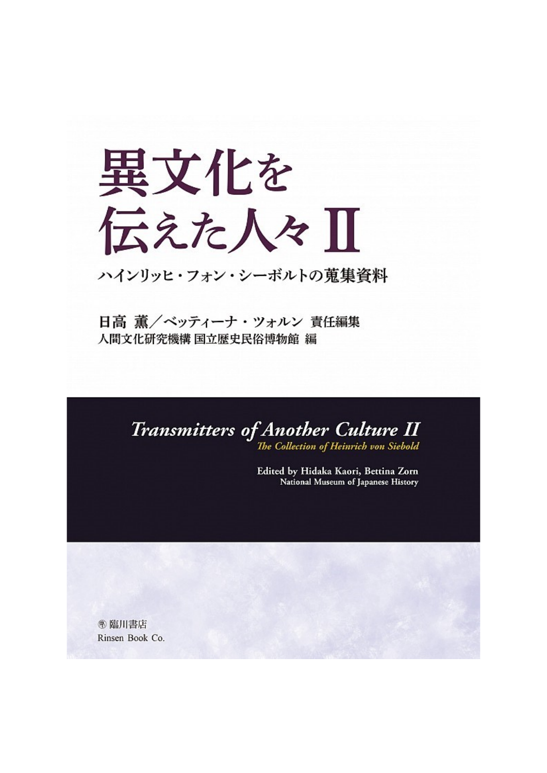## 異文化を 伝えた人々Ⅱ

ハインリッヒ・フォン・シーボルトの蒐集資料

日高 薫/ベッティーナ・ツォルン 責任編集 人間文化研究機構 国立歴史民俗博物館 編

## Transmitters of Another Culture II The Collection of Heinrich von Siebold

Edited by Hidaka Kaori, Bettina Zorn National Museum of Japanese History

**®臨川書店** Rinsen Book Co.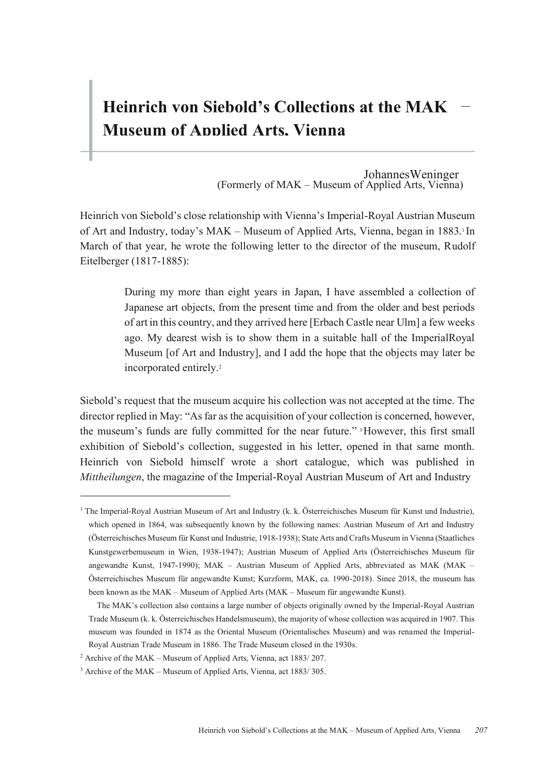## **Heinrich von Siebold's Collections at the MAK Museum of Applied Arts, Vienna**

(Formerly of MAK – Museum of Applied Arts, Vienna) JohannesWeninger

Heinrich von Siebold's close relationship with Vienna's Imperial-Royal Austrian Museum of Art and Industry, today's MAK – Museum of Applied Arts, Vienna, began in 1883.<sup>1</sup>In March of that year, he wrote the following letter to the director of the museum, Rudolf Eitelberger (1817-1885):

> During my more than eight years in Japan, I have assembled a collection of Japanese art objects, from the present time and from the older and best periods of art in this country, and they arrived here [Erbach Castle near Ulm] a few weeks ago. My dearest wish is to show them in a suitable hall of the ImperialRoyal Museum [of Art and Industry], and I add the hope that the objects may later be incorporated entirely.2

Siebold's request that the museum acquire his collection was not accepted at the time. The director replied in May: "As far as the acquisition of your collection is concerned, however, the museum's funds are fully committed for the near future." 3However, this first small exhibition of Siebold's collection, suggested in his letter, opened in that same month. Heinrich von Siebold himself wrote a short catalogue, which was published in *Mittheilungen*, the magazine of the Imperial-Royal Austrian Museum of Art and Industry

<sup>&</sup>lt;sup>1</sup> The Imperial-Royal Austrian Museum of Art and Industry (k. k. Österreichisches Museum für Kunst und Industrie), which opened in 1864, was subsequently known by the following names: Austrian Museum of Art and Industry (Österreichisches Museum für Kunst und Industrie, 1918-1938); State Arts and Crafts Museum in Vienna (Staatliches Kunstgewerbemuseum in Wien, 1938-1947); Austrian Museum of Applied Arts (Österreichisches Museum für angewandte Kunst, 1947-1990); MAK – Austrian Museum of Applied Arts, abbreviated as MAK (MAK – Österreichisches Museum für angewandte Kunst; Kurzform, MAK, ca. 1990-2018). Since 2018, the museum has been known as the MAK – Museum of Applied Arts (MAK – Museum für angewandte Kunst).

The MAK's collection also contains a large number of objects originally owned by the Imperial-Royal Austrian Trade Museum (k. k. Österreichisches Handelsmuseum), the majority of whose collection was acquired in 1907. This museum was founded in 1874 as the Oriental Museum (Orientalisches Museum) and was renamed the Imperial-Royal Austrian Trade Museum in 1886. The Trade Museum closed in the 1930s.

<sup>2</sup> Archive of the MAK – Museum of Applied Arts, Vienna, act 1883/ 207.

<sup>3</sup> Archive of the MAK – Museum of Applied Arts, Vienna, act 1883/ 305.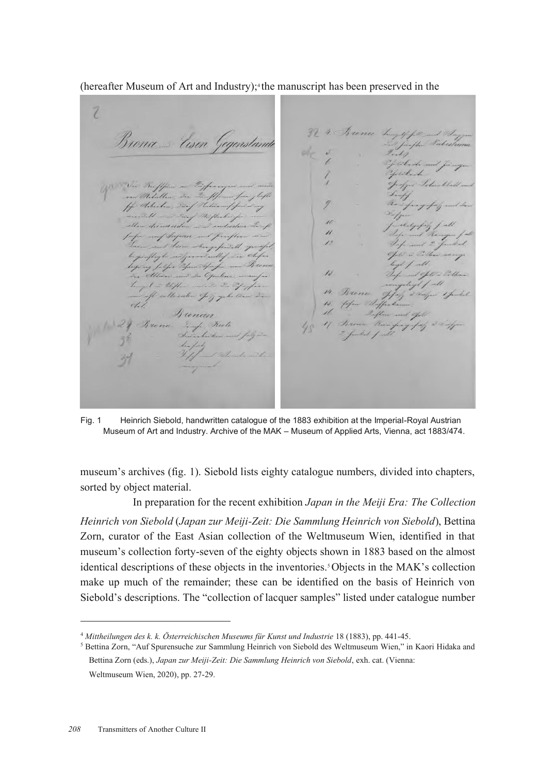$(hereafter Museum of Art and Industry);$ <sup>4</sup>the manuscript has been preserved in the

7 Brona = Eisen 9  $\overline{\mu}$  $\overline{\mathcal{L}}$ 

Fig. 1 Heinrich Siebold, handwritten catalogue of the 1883 exhibition at the Imperial-Royal Austrian Museum of Art and Industry. Archive of the MAK – Museum of Applied Arts, Vienna, act 1883/474.

museum's archives (fig. 1). Siebold lists eighty catalogue numbers, divided into chapters, sorted by object material.

In preparation for the recent exhibition *Japan in the Meiji Era: The Collection Heinrich von Siebold* (*Japan zur Meiji-Zeit: Die Sammlung Heinrich von Siebold*), Bettina Zorn, curator of the East Asian collection of the Weltmuseum Wien, identified in that museum's collection forty-seven of the eighty objects shown in 1883 based on the almost identical descriptions of these objects in the inventories.5Objects in the MAK's collection make up much of the remainder; these can be identified on the basis of Heinrich von Siebold's descriptions. The "collection of lacquer samples" listed under catalogue number

<sup>4</sup> *Mittheilungen des k. k. Österreichischen Museums für Kunst und Industrie* 18 (1883), pp. 441-45.

<sup>5</sup> Bettina Zorn, "Auf Spurensuche zur Sammlung Heinrich von Siebold des Weltmuseum Wien," in Kaori Hidaka and Bettina Zorn (eds.), *Japan zur Meiji-Zeit: Die Sammlung Heinrich von Siebold*, exh. cat. (Vienna: Weltmuseum Wien, 2020), pp. 27-29.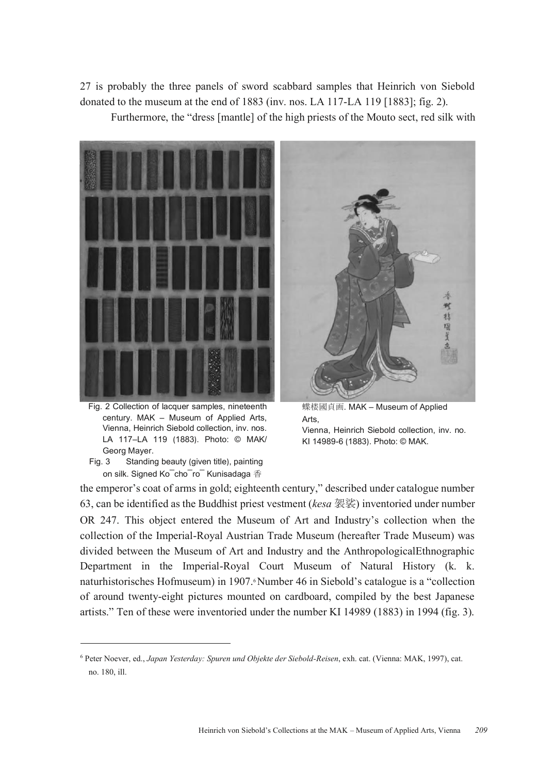27 is probably the three panels of sword scabbard samples that Heinrich von Siebold donated to the museum at the end of 1883 (inv. nos. LA 117-LA 119 [1883]; fig. 2).

Furthermore, the "dress [mantle] of the high priests of the Mouto sect, red silk with



Fig. 2 Collection of lacquer samples, nineteenth century. MAK – Museum of Applied Arts, Vienna, Heinrich Siebold collection, inv. nos. LA 117–LA 119 (1883). Photo: © MAK/ Georg Mayer.

Fig. 3 Standing beauty (given title), painting on silk. Signed Ko¯cho¯ro¯ Kunisadaga 香



蝶楼國貞画. MAK – Museum of Applied Arts, Vienna, Heinrich Siebold collection, inv. no.

KI 14989-6 (1883). Photo: © MAK.

the emperor's coat of arms in gold; eighteenth century," described under catalogue number 63, can be identified as the Buddhist priest vestment (*kesa* 袈裟) inventoried under number OR 247. This object entered the Museum of Art and Industry's collection when the collection of the Imperial-Royal Austrian Trade Museum (hereafter Trade Museum) was divided between the Museum of Art and Industry and the AnthropologicalEthnographic Department in the Imperial-Royal Court Museum of Natural History (k. k. naturhistorisches Hofmuseum) in 1907. Number 46 in Siebold's catalogue is a "collection of around twenty-eight pictures mounted on cardboard, compiled by the best Japanese artists." Ten of these were inventoried under the number KI 14989 (1883) in 1994 (fig. 3).

<sup>6</sup> Peter Noever, ed., *Japan Yesterday: Spuren und Objekte der Siebold-Reisen*, exh. cat. (Vienna: MAK, 1997), cat. no. 180, ill.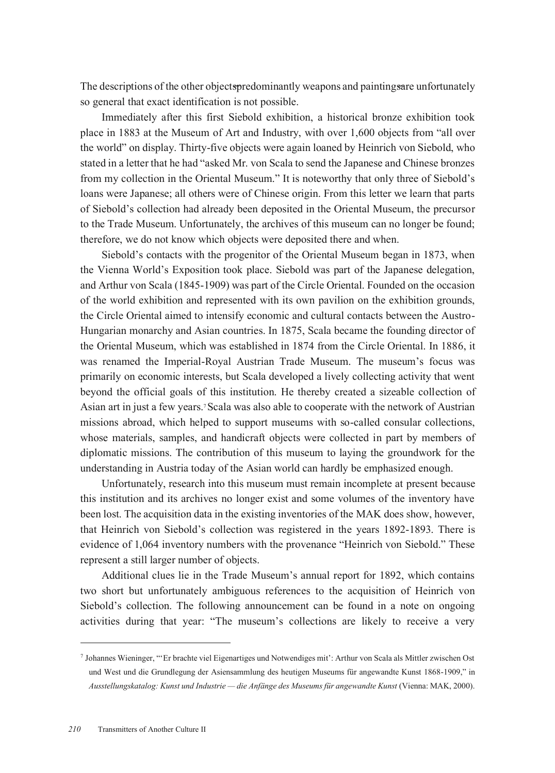The descriptions of the other objects predominantly we apons and painting stare unfortunately so general that exact identification is not possible.

Immediately after this first Siebold exhibition, a historical bronze exhibition took place in 1883 at the Museum of Art and Industry, with over 1,600 objects from "all over the world" on display. Thirty-five objects were again loaned by Heinrich von Siebold, who stated in a letter that he had "asked Mr. von Scala to send the Japanese and Chinese bronzes from my collection in the Oriental Museum." It is noteworthy that only three of Siebold's loans were Japanese; all others were of Chinese origin. From this letter we learn that parts of Siebold's collection had already been deposited in the Oriental Museum, the precursor to the Trade Museum. Unfortunately, the archives of this museum can no longer be found; therefore, we do not know which objects were deposited there and when.

Siebold's contacts with the progenitor of the Oriental Museum began in 1873, when the Vienna World's Exposition took place. Siebold was part of the Japanese delegation, and Arthur von Scala (1845-1909) was part of the Circle Oriental. Founded on the occasion of the world exhibition and represented with its own pavilion on the exhibition grounds, the Circle Oriental aimed to intensify economic and cultural contacts between the Austro-Hungarian monarchy and Asian countries. In 1875, Scala became the founding director of the Oriental Museum, which was established in 1874 from the Circle Oriental. In 1886, it was renamed the Imperial-Royal Austrian Trade Museum. The museum's focus was primarily on economic interests, but Scala developed a lively collecting activity that went beyond the official goals of this institution. He thereby created a sizeable collection of Asian art in just a few years.7Scala was also able to cooperate with the network of Austrian missions abroad, which helped to support museums with so-called consular collections, whose materials, samples, and handicraft objects were collected in part by members of diplomatic missions. The contribution of this museum to laying the groundwork for the understanding in Austria today of the Asian world can hardly be emphasized enough.

Unfortunately, research into this museum must remain incomplete at present because this institution and its archives no longer exist and some volumes of the inventory have been lost. The acquisition data in the existing inventories of the MAK does show, however, that Heinrich von Siebold's collection was registered in the years 1892-1893. There is evidence of 1,064 inventory numbers with the provenance "Heinrich von Siebold." These represent a still larger number of objects.

Additional clues lie in the Trade Museum's annual report for 1892, which contains two short but unfortunately ambiguous references to the acquisition of Heinrich von Siebold's collection. The following announcement can be found in a note on ongoing activities during that year: "The museum's collections are likely to receive a very

<sup>7</sup> Johannes Wieninger, "'Er brachte viel Eigenartiges und Notwendiges mit': Arthur von Scala als Mittler zwischen Ost und West und die Grundlegung der Asiensammlung des heutigen Museums für angewandte Kunst 1868-1909," in *Ausstellungskatalog: Kunst und Industrie — die Anfänge des Museums für angewandte Kunst* (Vienna: MAK, 2000).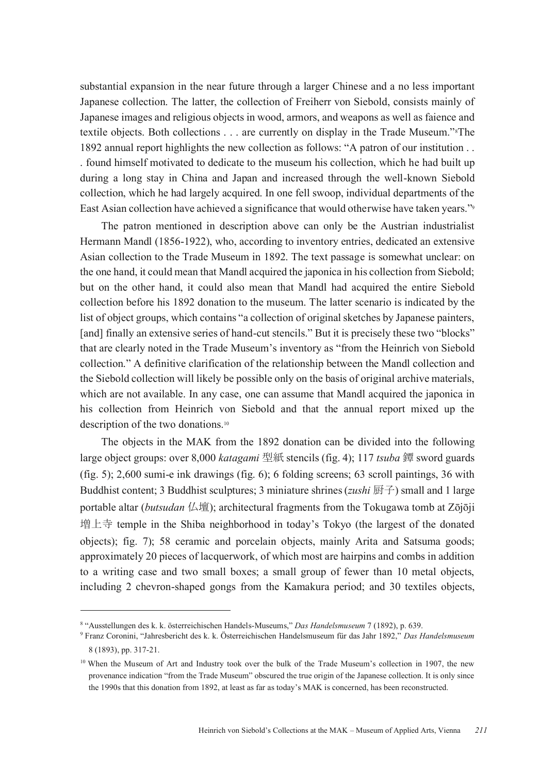substantial expansion in the near future through a larger Chinese and a no less important Japanese collection. The latter, the collection of Freiherr von Siebold, consists mainly of Japanese images and religious objects in wood, armors, and weapons as well as faience and textile objects. Both collections . . . are currently on display in the Trade Museum."8The 1892 annual report highlights the new collection as follows: "A patron of our institution . . . found himself motivated to dedicate to the museum his collection, which he had built up during a long stay in China and Japan and increased through the well-known Siebold collection, which he had largely acquired. In one fell swoop, individual departments of the East Asian collection have achieved a significance that would otherwise have taken years."<sup>9</sup>

The patron mentioned in description above can only be the Austrian industrialist Hermann Mandl (1856-1922), who, according to inventory entries, dedicated an extensive Asian collection to the Trade Museum in 1892. The text passage is somewhat unclear: on the one hand, it could mean that Mandl acquired the japonica in his collection from Siebold; but on the other hand, it could also mean that Mandl had acquired the entire Siebold collection before his 1892 donation to the museum. The latter scenario is indicated by the list of object groups, which contains "a collection of original sketches by Japanese painters, [and] finally an extensive series of hand-cut stencils." But it is precisely these two "blocks" that are clearly noted in the Trade Museum's inventory as "from the Heinrich von Siebold collection." A definitive clarification of the relationship between the Mandl collection and the Siebold collection will likely be possible only on the basis of original archive materials, which are not available. In any case, one can assume that Mandl acquired the japonica in his collection from Heinrich von Siebold and that the annual report mixed up the description of the two donations.10

The objects in the MAK from the 1892 donation can be divided into the following large object groups: over 8,000 *katagami* 型紙 stencils (fig. 4); 117 *tsuba* 鐔 sword guards (fig. 5); 2,600 sumi-e ink drawings (fig. 6); 6 folding screens; 63 scroll paintings, 36 with Buddhist content; 3 Buddhist sculptures; 3 miniature shrines (*zushi* 厨子) small and 1 large portable altar (*butsudan* 仏壇); architectural fragments from the Tokugawa tomb at Zōjōji 増上寺 temple in the Shiba neighborhood in today's Tokyo (the largest of the donated objects); fig. 7); 58 ceramic and porcelain objects, mainly Arita and Satsuma goods; approximately 20 pieces of lacquerwork, of which most are hairpins and combs in addition to a writing case and two small boxes; a small group of fewer than 10 metal objects, including 2 chevron-shaped gongs from the Kamakura period; and 30 textiles objects,

<sup>8</sup> "Ausstellungen des k. k. österreichischen Handels-Museums," *Das Handelsmuseum* 7 (1892), p. 639.

<sup>9</sup> Franz Coronini, "Jahresbericht des k. k. Österreichischen Handelsmuseum für das Jahr 1892," *Das Handelsmuseum*  8 (1893), pp. 317-21.

<sup>&</sup>lt;sup>10</sup> When the Museum of Art and Industry took over the bulk of the Trade Museum's collection in 1907, the new provenance indication "from the Trade Museum" obscured the true origin of the Japanese collection. It is only since the 1990s that this donation from 1892, at least as far as today's MAK is concerned, has been reconstructed.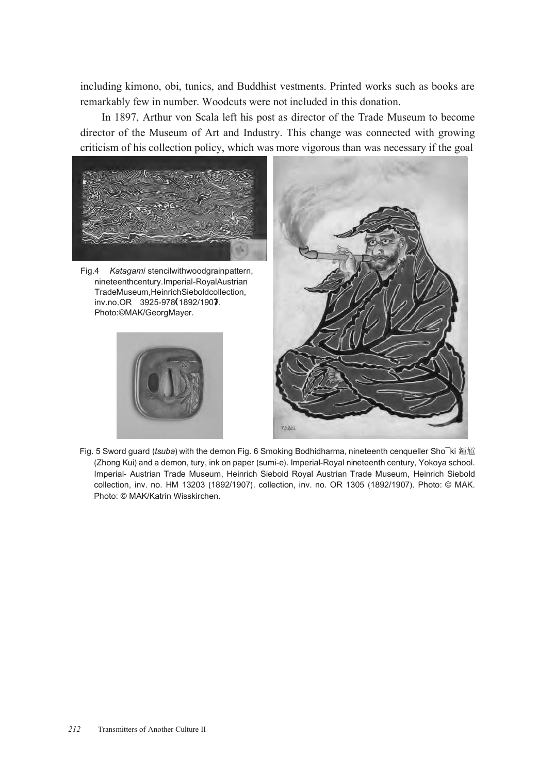including kimono, obi, tunics, and Buddhist vestments. Printed works such as books are remarkably few in number. Woodcuts were not included in this donation.

In 1897, Arthur von Scala left his post as director of the Trade Museum to become director of the Museum of Art and Industry. This change was connected with growing criticism of his collection policy, which was more vigorous than was necessary if the goal



Fig.4 *Katagami* stencilwithwoodgrainpattern, nineteenthcentury.Imperial-RoyalAustrian TradeMuseum,HeinrichSieboldcollection, inv.no.OR 3925-978 (1892/1907. Photo:©MAK/GeorgMayer.





Fig. 5 Sword guard (*tsuba*) with the demon Fig. 6 Smoking Bodhidharma, nineteenth cenqueller Sho¯ki 鍾馗 (Zhong Kui) and a demon, tury, ink on paper (sumi-e). Imperial-Royal nineteenth century, Yokoya school. Imperial- Austrian Trade Museum, Heinrich Siebold Royal Austrian Trade Museum, Heinrich Siebold collection, inv. no. HM 13203 (1892/1907). collection, inv. no. OR 1305 (1892/1907). Photo: © MAK. Photo: © MAK/Katrin Wisskirchen.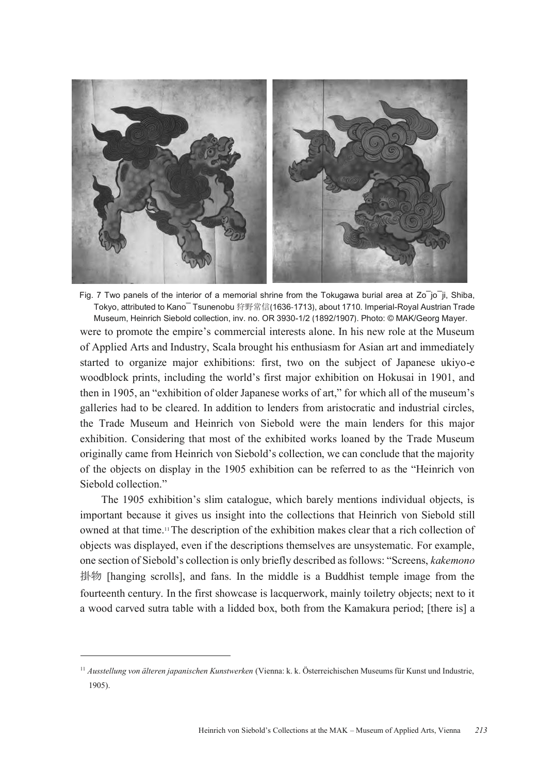

Fig. 7 Two panels of the interior of a memorial shrine from the Tokugawa burial area at  $Zo^-i$ o $^-i$ i, Shiba, Tokyo, attributed to Kano¯ Tsunenobu 狩野常信(1636-1713), about 1710. Imperial-Royal Austrian Trade Museum, Heinrich Siebold collection, inv. no. OR 3930-1/2 (1892/1907). Photo: © MAK/Georg Mayer. were to promote the empire's commercial interests alone. In his new role at the Museum of Applied Arts and Industry, Scala brought his enthusiasm for Asian art and immediately started to organize major exhibitions: first, two on the subject of Japanese ukiyo-e woodblock prints, including the world's first major exhibition on Hokusai in 1901, and then in 1905, an "exhibition of older Japanese works of art," for which all of the museum's galleries had to be cleared. In addition to lenders from aristocratic and industrial circles, the Trade Museum and Heinrich von Siebold were the main lenders for this major exhibition. Considering that most of the exhibited works loaned by the Trade Museum originally came from Heinrich von Siebold's collection, we can conclude that the majority of the objects on display in the 1905 exhibition can be referred to as the "Heinrich von Siebold collection."

The 1905 exhibition's slim catalogue, which barely mentions individual objects, is important because it gives us insight into the collections that Heinrich von Siebold still owned at that time.11The description of the exhibition makes clear that a rich collection of objects was displayed, even if the descriptions themselves are unsystematic. For example, one section of Siebold's collection is only briefly described as follows: "Screens, *kakemono*  掛物 [hanging scrolls], and fans. In the middle is a Buddhist temple image from the fourteenth century. In the first showcase is lacquerwork, mainly toiletry objects; next to it a wood carved sutra table with a lidded box, both from the Kamakura period; [there is] a

<sup>11</sup> *Ausstellung von älteren japanischen Kunstwerken* (Vienna: k. k. Österreichischen Museums für Kunst und Industrie, 1905).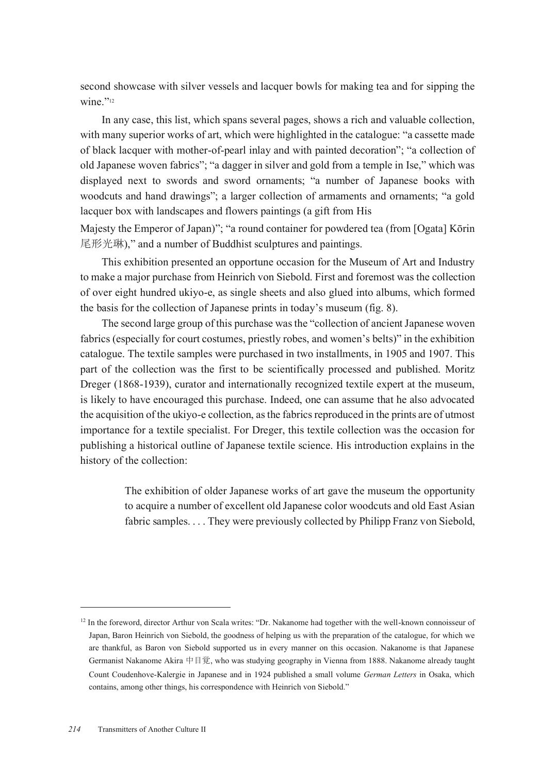second showcase with silver vessels and lacquer bowls for making tea and for sipping the wine."12

In any case, this list, which spans several pages, shows a rich and valuable collection, with many superior works of art, which were highlighted in the catalogue: "a cassette made of black lacquer with mother-of-pearl inlay and with painted decoration"; "a collection of old Japanese woven fabrics"; "a dagger in silver and gold from a temple in Ise," which was displayed next to swords and sword ornaments; "a number of Japanese books with woodcuts and hand drawings"; a larger collection of armaments and ornaments; "a gold lacquer box with landscapes and flowers paintings (a gift from His

Majesty the Emperor of Japan)"; "a round container for powdered tea (from [Ogata] Kōrin 尾形光琳)," and a number of Buddhist sculptures and paintings.

This exhibition presented an opportune occasion for the Museum of Art and Industry to make a major purchase from Heinrich von Siebold. First and foremost was the collection of over eight hundred ukiyo-e, as single sheets and also glued into albums, which formed the basis for the collection of Japanese prints in today's museum (fig. 8).

The second large group of this purchase was the "collection of ancient Japanese woven fabrics (especially for court costumes, priestly robes, and women's belts)" in the exhibition catalogue. The textile samples were purchased in two installments, in 1905 and 1907. This part of the collection was the first to be scientifically processed and published. Moritz Dreger (1868-1939), curator and internationally recognized textile expert at the museum, is likely to have encouraged this purchase. Indeed, one can assume that he also advocated the acquisition of the ukiyo-e collection, as the fabrics reproduced in the prints are of utmost importance for a textile specialist. For Dreger, this textile collection was the occasion for publishing a historical outline of Japanese textile science. His introduction explains in the history of the collection:

> The exhibition of older Japanese works of art gave the museum the opportunity to acquire a number of excellent old Japanese color woodcuts and old East Asian fabric samples. . . . They were previously collected by Philipp Franz von Siebold,

<sup>&</sup>lt;sup>12</sup> In the foreword, director Arthur von Scala writes: "Dr. Nakanome had together with the well-known connoisseur of Japan, Baron Heinrich von Siebold, the goodness of helping us with the preparation of the catalogue, for which we are thankful, as Baron von Siebold supported us in every manner on this occasion. Nakanome is that Japanese Germanist Nakanome Akira 中目覚, who was studying geography in Vienna from 1888. Nakanome already taught Count Coudenhove-Kalergie in Japanese and in 1924 published a small volume *German Letters* in Osaka, which contains, among other things, his correspondence with Heinrich von Siebold."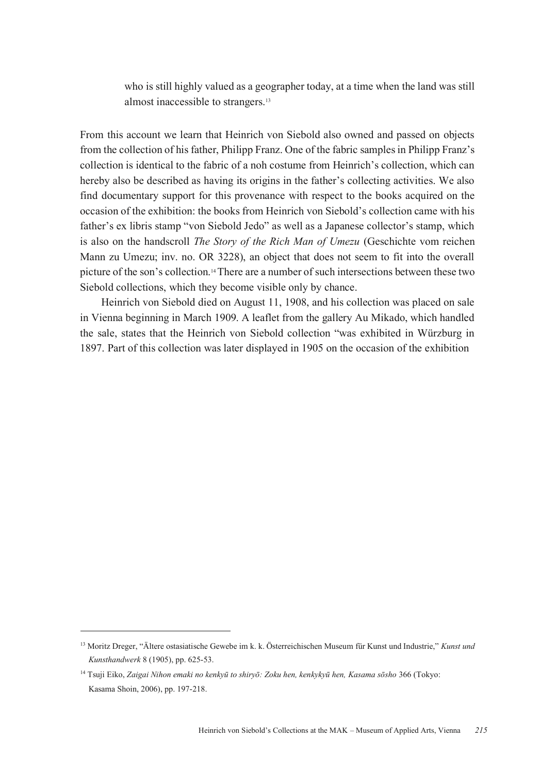who is still highly valued as a geographer today, at a time when the land was still almost inaccessible to strangers.13

From this account we learn that Heinrich von Siebold also owned and passed on objects from the collection of his father, Philipp Franz. One of the fabric samples in Philipp Franz's collection is identical to the fabric of a noh costume from Heinrich's collection, which can hereby also be described as having its origins in the father's collecting activities. We also find documentary support for this provenance with respect to the books acquired on the occasion of the exhibition: the books from Heinrich von Siebold's collection came with his father's ex libris stamp "von Siebold Jedo" as well as a Japanese collector's stamp, which is also on the handscroll *The Story of the Rich Man of Umezu* (Geschichte vom reichen Mann zu Umezu; inv. no. OR 3228), an object that does not seem to fit into the overall picture of the son's collection.14There are a number of such intersections between these two Siebold collections, which they become visible only by chance.

Heinrich von Siebold died on August 11, 1908, and his collection was placed on sale in Vienna beginning in March 1909. A leaflet from the gallery Au Mikado, which handled the sale, states that the Heinrich von Siebold collection "was exhibited in Würzburg in 1897. Part of this collection was later displayed in 1905 on the occasion of the exhibition

<sup>13</sup> Moritz Dreger, "Ältere ostasiatische Gewebe im k. k. Österreichischen Museum für Kunst und Industrie," *Kunst und Kunsthandwerk* 8 (1905), pp. 625-53.

<sup>14</sup> Tsuji Eiko, *Zaigai Nihon emaki no kenkyū to shiryō: Zoku hen, kenkykyū hen, Kasama sōsho* 366 (Tokyo: Kasama Shoin, 2006), pp. 197-218.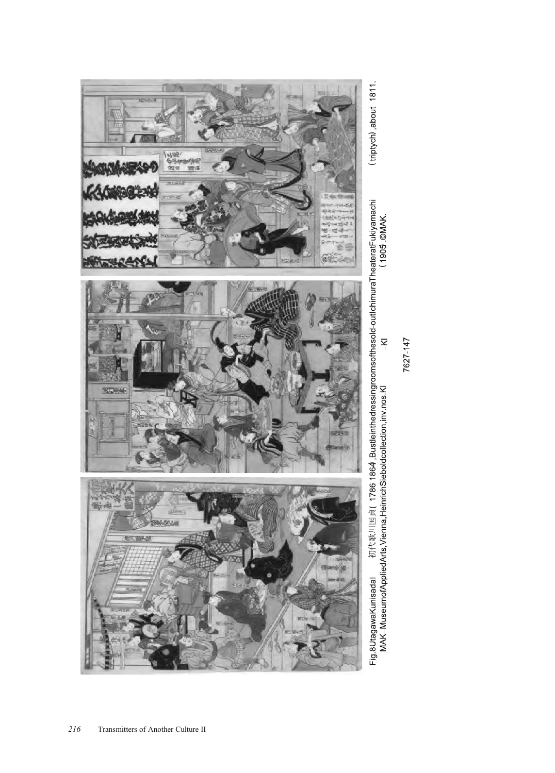

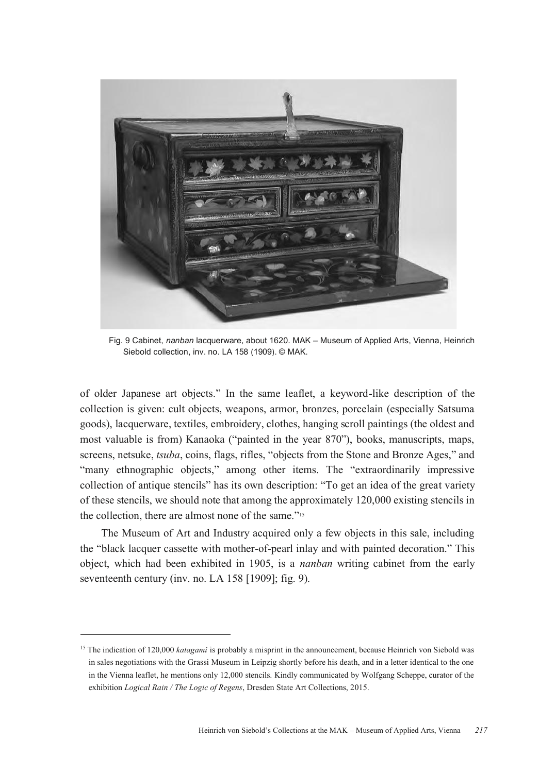

Fig. 9 Cabinet, *nanban* lacquerware, about 1620. MAK – Museum of Applied Arts, Vienna, Heinrich Siebold collection, inv. no. LA 158 (1909). © MAK.

of older Japanese art objects." In the same leaflet, a keyword-like description of the collection is given: cult objects, weapons, armor, bronzes, porcelain (especially Satsuma goods), lacquerware, textiles, embroidery, clothes, hanging scroll paintings (the oldest and most valuable is from) Kanaoka ("painted in the year 870"), books, manuscripts, maps, screens, netsuke, *tsuba*, coins, flags, rifles, "objects from the Stone and Bronze Ages," and "many ethnographic objects," among other items. The "extraordinarily impressive collection of antique stencils" has its own description: "To get an idea of the great variety of these stencils, we should note that among the approximately 120,000 existing stencils in the collection, there are almost none of the same."<sup>15</sup>

The Museum of Art and Industry acquired only a few objects in this sale, including the "black lacquer cassette with mother-of-pearl inlay and with painted decoration." This object, which had been exhibited in 1905, is a *nanban* writing cabinet from the early seventeenth century (inv. no. LA 158 [1909]; fig. 9).

<sup>&</sup>lt;sup>15</sup> The indication of 120,000 *katagami* is probably a misprint in the announcement, because Heinrich von Siebold was in sales negotiations with the Grassi Museum in Leipzig shortly before his death, and in a letter identical to the one in the Vienna leaflet, he mentions only 12,000 stencils. Kindly communicated by Wolfgang Scheppe, curator of the exhibition *Logical Rain / The Logic of Regens*, Dresden State Art Collections, 2015.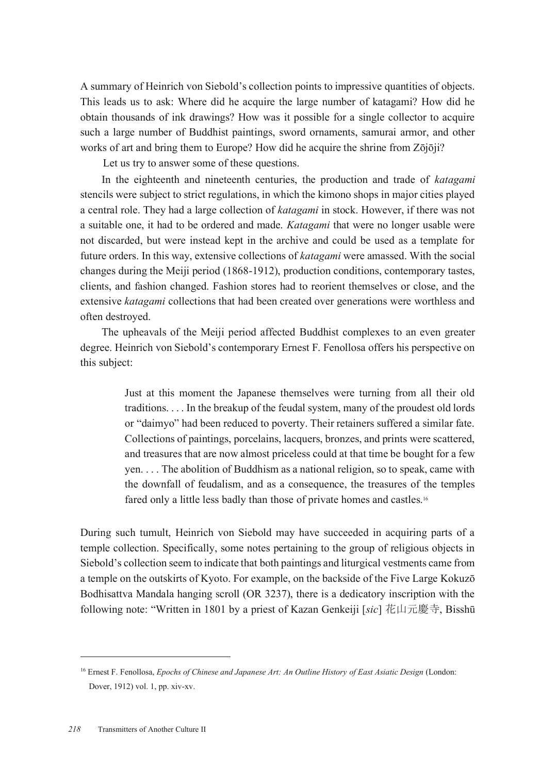A summary of Heinrich von Siebold's collection points to impressive quantities of objects. This leads us to ask: Where did he acquire the large number of katagami? How did he obtain thousands of ink drawings? How was it possible for a single collector to acquire such a large number of Buddhist paintings, sword ornaments, samurai armor, and other works of art and bring them to Europe? How did he acquire the shrine from Zōjōji?

Let us try to answer some of these questions.

In the eighteenth and nineteenth centuries, the production and trade of *katagami* stencils were subject to strict regulations, in which the kimono shops in major cities played a central role. They had a large collection of *katagami* in stock. However, if there was not a suitable one, it had to be ordered and made. *Katagami* that were no longer usable were not discarded, but were instead kept in the archive and could be used as a template for future orders. In this way, extensive collections of *katagami* were amassed. With the social changes during the Meiji period (1868-1912), production conditions, contemporary tastes, clients, and fashion changed. Fashion stores had to reorient themselves or close, and the extensive *katagami* collections that had been created over generations were worthless and often destroyed.

The upheavals of the Meiji period affected Buddhist complexes to an even greater degree. Heinrich von Siebold's contemporary Ernest F. Fenollosa offers his perspective on this subject:

> Just at this moment the Japanese themselves were turning from all their old traditions. . . . In the breakup of the feudal system, many of the proudest old lords or "daimyo" had been reduced to poverty. Their retainers suffered a similar fate. Collections of paintings, porcelains, lacquers, bronzes, and prints were scattered, and treasures that are now almost priceless could at that time be bought for a few yen. . . . The abolition of Buddhism as a national religion, so to speak, came with the downfall of feudalism, and as a consequence, the treasures of the temples fared only a little less badly than those of private homes and castles.16

During such tumult, Heinrich von Siebold may have succeeded in acquiring parts of a temple collection. Specifically, some notes pertaining to the group of religious objects in Siebold's collection seem to indicate that both paintings and liturgical vestments came from a temple on the outskirts of Kyoto. For example, on the backside of the Five Large Kokuzō Bodhisattva Mandala hanging scroll (OR 3237), there is a dedicatory inscription with the following note: "Written in 1801 by a priest of Kazan Genkeiji [*sic*] 花山元慶寺, Bisshū

<sup>16</sup> Ernest F. Fenollosa, *Epochs of Chinese and Japanese Art: An Outline History of East Asiatic Design* (London: Dover, 1912) vol. 1, pp. xiv-xv.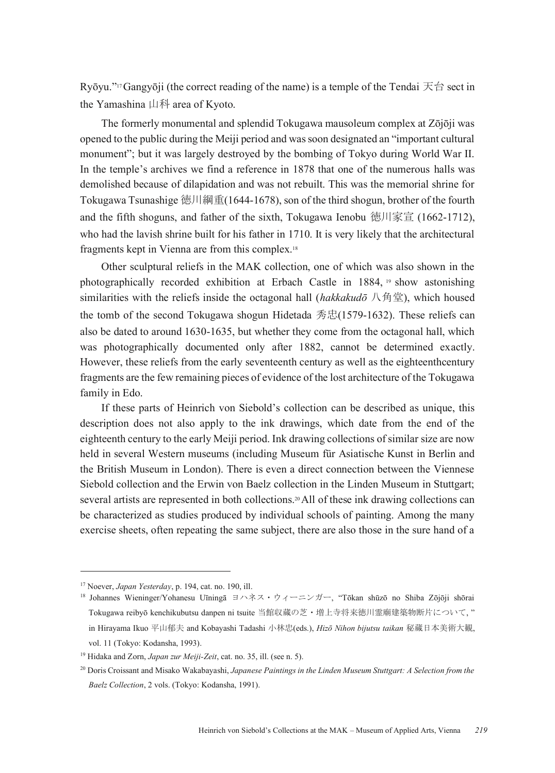Ryōyu."<sup>17</sup>Gangyōji (the correct reading of the name) is a temple of the Tendai  $\overline{\mathcal{R}}$  finition sect in the Yamashina 山科 area of Kyoto.

The formerly monumental and splendid Tokugawa mausoleum complex at Zōjōji was opened to the public during the Meiji period and was soon designated an "important cultural monument"; but it was largely destroyed by the bombing of Tokyo during World War II. In the temple's archives we find a reference in 1878 that one of the numerous halls was demolished because of dilapidation and was not rebuilt. This was the memorial shrine for Tokugawa Tsunashige 徳川綱重(1644-1678), son of the third shogun, brother of the fourth and the fifth shoguns, and father of the sixth, Tokugawa Ienobu 徳川家宣 (1662-1712), who had the lavish shrine built for his father in 1710. It is very likely that the architectural fragments kept in Vienna are from this complex.18

Other sculptural reliefs in the MAK collection, one of which was also shown in the photographically recorded exhibition at Erbach Castle in 1884, <sup>19</sup> show astonishing similarities with the reliefs inside the octagonal hall (*hakkakudō* 八角堂), which housed the tomb of the second Tokugawa shogun Hidetada 秀忠(1579-1632). These reliefs can also be dated to around 1630-1635, but whether they come from the octagonal hall, which was photographically documented only after 1882, cannot be determined exactly. However, these reliefs from the early seventeenth century as well as the eighteenthcentury fragments are the few remaining pieces of evidence of the lost architecture of the Tokugawa family in Edo.

If these parts of Heinrich von Siebold's collection can be described as unique, this description does not also apply to the ink drawings, which date from the end of the eighteenth century to the early Meiji period. Ink drawing collections of similar size are now held in several Western museums (including Museum für Asiatische Kunst in Berlin and the British Museum in London). There is even a direct connection between the Viennese Siebold collection and the Erwin von Baelz collection in the Linden Museum in Stuttgart; several artists are represented in both collections.20All of these ink drawing collections can be characterized as studies produced by individual schools of painting. Among the many exercise sheets, often repeating the same subject, there are also those in the sure hand of a

<sup>17</sup> Noever, *Japan Yesterday*, p. 194, cat. no. 190, ill.

<sup>18</sup> Johannes Wieninger/Yohanesu Uīningā ヨハネス・ウィーニンガー, "Tōkan shūzō no Shiba Zōjōji shōrai Tokugawa reibyō kenchikubutsu danpen ni tsuite 当館収蔵の芝・増上寺将来徳川霊廟建築物断片について, " in Hirayama Ikuo 平山郁夫 and Kobayashi Tadashi 小林忠(eds.), *Hizō Nihon bijutsu taikan* 秘蔵日本美術大観, vol. 11 (Tokyo: Kodansha, 1993).

<sup>19</sup> Hidaka and Zorn, *Japan zur Meiji-Zeit*, cat. no. 35, ill. (see n. 5).

<sup>20</sup> Doris Croissant and Misako Wakabayashi, *Japanese Paintings in the Linden Museum Stuttgart: A Selection from the Baelz Collection*, 2 vols. (Tokyo: Kodansha, 1991).